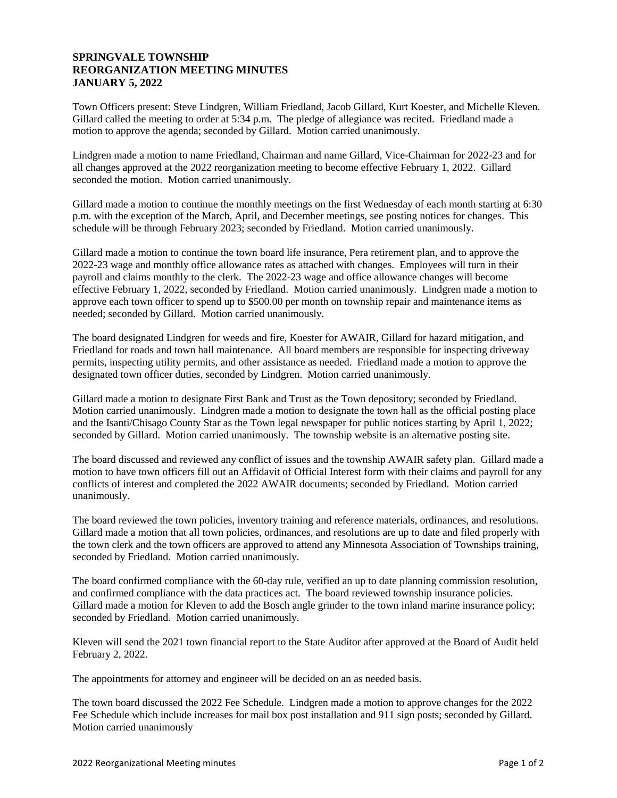# **SPRINGVALE TOWNSHIP REORGANIZATION MEETING MINUTES JANUARY 5, 2022**

Town Officers present: Steve Lindgren, William Friedland, Jacob Gillard, Kurt Koester, and Michelle Kleven. Gillard called the meeting to order at 5:34 p.m. The pledge of allegiance was recited. Friedland made a motion to approve the agenda; seconded by Gillard. Motion carried unanimously.

Lindgren made a motion to name Friedland, Chairman and name Gillard, Vice-Chairman for 2022-23 and for all changes approved at the 2022 reorganization meeting to become effective February 1, 2022. Gillard seconded the motion. Motion carried unanimously.

Gillard made a motion to continue the monthly meetings on the first Wednesday of each month starting at 6:30 p.m. with the exception of the March, April, and December meetings, see posting notices for changes. This schedule will be through February 2023; seconded by Friedland. Motion carried unanimously.

Gillard made a motion to continue the town board life insurance, Pera retirement plan, and to approve the 2022-23 wage and monthly office allowance rates as attached with changes. Employees will turn in their payroll and claims monthly to the clerk. The 2022-23 wage and office allowance changes will become effective February 1, 2022, seconded by Friedland. Motion carried unanimously. Lindgren made a motion to approve each town officer to spend up to \$500.00 per month on township repair and maintenance items as needed; seconded by Gillard. Motion carried unanimously.

The board designated Lindgren for weeds and fire, Koester for AWAIR, Gillard for hazard mitigation, and Friedland for roads and town hall maintenance. All board members are responsible for inspecting driveway permits, inspecting utility permits, and other assistance as needed. Friedland made a motion to approve the designated town officer duties, seconded by Lindgren. Motion carried unanimously.

Gillard made a motion to designate First Bank and Trust as the Town depository; seconded by Friedland. Motion carried unanimously. Lindgren made a motion to designate the town hall as the official posting place and the Isanti/Chisago County Star as the Town legal newspaper for public notices starting by April 1, 2022; seconded by Gillard. Motion carried unanimously. The township website is an alternative posting site.

The board discussed and reviewed any conflict of issues and the township AWAIR safety plan. Gillard made a motion to have town officers fill out an Affidavit of Official Interest form with their claims and payroll for any conflicts of interest and completed the 2022 AWAIR documents; seconded by Friedland. Motion carried unanimously.

The board reviewed the town policies, inventory training and reference materials, ordinances, and resolutions. Gillard made a motion that all town policies, ordinances, and resolutions are up to date and filed properly with the town clerk and the town officers are approved to attend any Minnesota Association of Townships training, seconded by Friedland. Motion carried unanimously.

The board confirmed compliance with the 60-day rule, verified an up to date planning commission resolution, and confirmed compliance with the data practices act. The board reviewed township insurance policies. Gillard made a motion for Kleven to add the Bosch angle grinder to the town inland marine insurance policy; seconded by Friedland. Motion carried unanimously.

Kleven will send the 2021 town financial report to the State Auditor after approved at the Board of Audit held February 2, 2022.

The appointments for attorney and engineer will be decided on an as needed basis.

The town board discussed the 2022 Fee Schedule. Lindgren made a motion to approve changes for the 2022 Fee Schedule which include increases for mail box post installation and 911 sign posts; seconded by Gillard. Motion carried unanimously